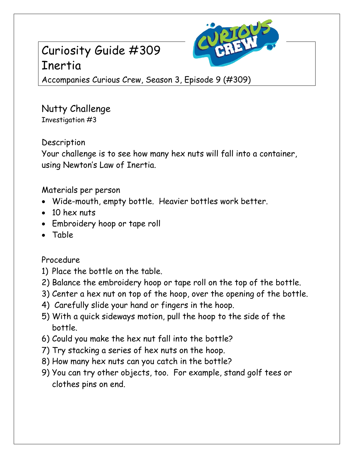## Curiosity Guide #309 Inertia



Accompanies Curious Crew, Season 3, Episode 9 (#309)

Nutty Challenge Investigation #3

**Description** 

Your challenge is to see how many hex nuts will fall into a container, using Newton's Law of Inertia.

Materials per person

- Wide-mouth, empty bottle. Heavier bottles work better.
- 10 hex nuts
- Embroidery hoop or tape roll
- Table

Procedure

- 1) Place the bottle on the table.
- 2) Balance the embroidery hoop or tape roll on the top of the bottle.
- 3) Center a hex nut on top of the hoop, over the opening of the bottle.
- 4) Carefully slide your hand or fingers in the hoop.
- 5) With a quick sideways motion, pull the hoop to the side of the bottle.
- 6) Could you make the hex nut fall into the bottle?
- 7) Try stacking a series of hex nuts on the hoop.
- 8) How many hex nuts can you catch in the bottle?
- 9) You can try other objects, too. For example, stand golf tees or clothes pins on end.